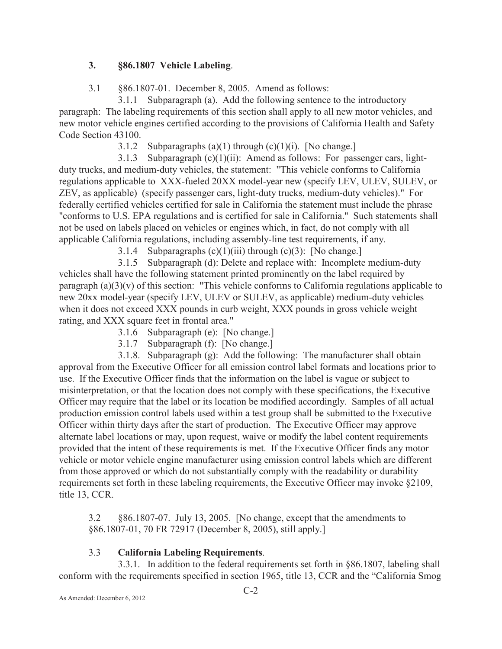## **3. §86.1807 Vehicle Labeling**.

3.1 §86.1807-01. December 8, 2005. Amend as follows:

3.1.1 Subparagraph (a). Add the following sentence to the introductory paragraph: The labeling requirements of this section shall apply to all new motor vehicles, and new motor vehicle engines certified according to the provisions of California Health and Safety Code Section 43100.

3.1.2 Subparagraphs  $(a)(1)$  through  $(c)(1)(i)$ . [No change.]

3.1.3 Subparagraph  $(c)(1)(ii)$ : Amend as follows: For passenger cars, lightduty trucks, and medium-duty vehicles, the statement: "This vehicle conforms to California regulations applicable to XXX-fueled 20XX model-year new (specify LEV, ULEV, SULEV, or ZEV, as applicable) (specify passenger cars, light-duty trucks, medium-duty vehicles)." For federally certified vehicles certified for sale in California the statement must include the phrase "conforms to U.S. EPA regulations and is certified for sale in California." Such statements shall not be used on labels placed on vehicles or engines which, in fact, do not comply with all applicable California regulations, including assembly-line test requirements, if any.

3.1.4 Subparagraphs  $(c)(1)(iii)$  through  $(c)(3)$ : [No change.]

3.1.5 Subparagraph (d): Delete and replace with: Incomplete medium-duty vehicles shall have the following statement printed prominently on the label required by paragraph (a)(3)(v) of this section: "This vehicle conforms to California regulations applicable to new 20xx model-year (specify LEV, ULEV or SULEV, as applicable) medium-duty vehicles when it does not exceed XXX pounds in curb weight, XXX pounds in gross vehicle weight rating, and XXX square feet in frontal area."

3.1.6 Subparagraph (e): [No change.]

3.1.7 Subparagraph (f): [No change.]

3.1.8. Subparagraph (g): Add the following: The manufacturer shall obtain approval from the Executive Officer for all emission control label formats and locations prior to use. If the Executive Officer finds that the information on the label is vague or subject to misinterpretation, or that the location does not comply with these specifications, the Executive Officer may require that the label or its location be modified accordingly. Samples of all actual production emission control labels used within a test group shall be submitted to the Executive Officer within thirty days after the start of production. The Executive Officer may approve alternate label locations or may, upon request, waive or modify the label content requirements provided that the intent of these requirements is met. If the Executive Officer finds any motor vehicle or motor vehicle engine manufacturer using emission control labels which are different from those approved or which do not substantially comply with the readability or durability requirements set forth in these labeling requirements, the Executive Officer may invoke §2109, title 13, CCR.

3.2 §86.1807-07. July 13, 2005. [No change, except that the amendments to §86.1807-01, 70 FR 72917 (December 8, 2005), still apply.]

## 3.3 **California Labeling Requirements**.

3.3.1. In addition to the federal requirements set forth in §86.1807, labeling shall conform with the requirements specified in section 1965, title 13, CCR and the "California Smog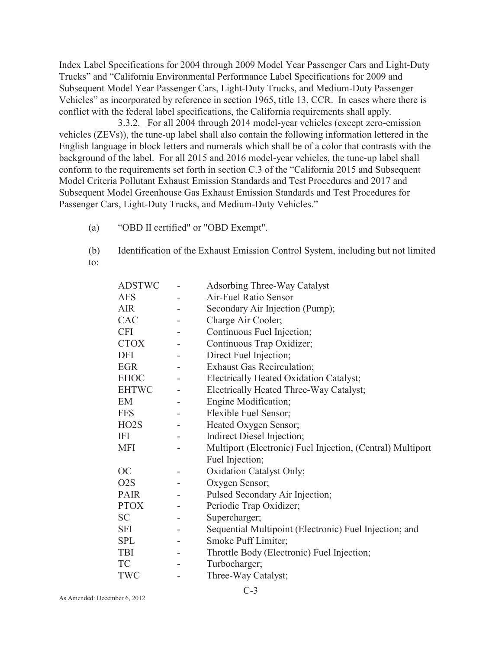Index Label Specifications for 2004 through 2009 Model Year Passenger Cars and Light-Duty Trucks" and "California Environmental Performance Label Specifications for 2009 and Subsequent Model Year Passenger Cars, Light-Duty Trucks, and Medium-Duty Passenger Vehicles" as incorporated by reference in section 1965, title 13, CCR. In cases where there is conflict with the federal label specifications, the California requirements shall apply.

3.3.2. For all 2004 through 2014 model-year vehicles (except zero-emission vehicles (ZEVs)), the tune-up label shall also contain the following information lettered in the English language in block letters and numerals which shall be of a color that contrasts with the background of the label. For all 2015 and 2016 model-year vehicles, the tune-up label shall conform to the requirements set forth in section C.3 of the "California 2015 and Subsequent Model Criteria Pollutant Exhaust Emission Standards and Test Procedures and 2017 and Subsequent Model Greenhouse Gas Exhaust Emission Standards and Test Procedures for Passenger Cars, Light-Duty Trucks, and Medium-Duty Vehicles."

- (a) "OBD II certified" or "OBD Exempt".
- (b) Identification of the Exhaust Emission Control System, including but not limited to:

| <b>ADSTWC</b>     | $\overline{\phantom{a}}$ | <b>Adsorbing Three-Way Catalyst</b>                        |
|-------------------|--------------------------|------------------------------------------------------------|
| <b>AFS</b>        |                          | Air-Fuel Ratio Sensor                                      |
| <b>AIR</b>        | $\overline{\phantom{a}}$ | Secondary Air Injection (Pump);                            |
| CAC               | $\overline{\phantom{0}}$ | Charge Air Cooler;                                         |
| <b>CFI</b>        |                          | Continuous Fuel Injection;                                 |
| <b>CTOX</b>       |                          | Continuous Trap Oxidizer;                                  |
| DFI               | $\overline{\phantom{a}}$ | Direct Fuel Injection;                                     |
| <b>EGR</b>        | $\overline{\phantom{a}}$ | <b>Exhaust Gas Recirculation;</b>                          |
| <b>EHOC</b>       |                          | Electrically Heated Oxidation Catalyst;                    |
| <b>EHTWC</b>      | $\overline{\phantom{0}}$ | Electrically Heated Three-Way Catalyst;                    |
| EM                |                          | Engine Modification;                                       |
| <b>FFS</b>        |                          | Flexible Fuel Sensor;                                      |
| HO <sub>2</sub> S |                          | Heated Oxygen Sensor;                                      |
| IFI               | $\overline{\phantom{a}}$ | Indirect Diesel Injection;                                 |
| <b>MFI</b>        | $\overline{\phantom{0}}$ | Multiport (Electronic) Fuel Injection, (Central) Multiport |
|                   |                          | Fuel Injection;                                            |
| OC                |                          | Oxidation Catalyst Only;                                   |
| O <sub>2</sub> S  |                          | Oxygen Sensor;                                             |
| <b>PAIR</b>       |                          | Pulsed Secondary Air Injection;                            |
| <b>PTOX</b>       |                          | Periodic Trap Oxidizer;                                    |
| <b>SC</b>         | $\overline{\phantom{0}}$ | Supercharger;                                              |
| <b>SFI</b>        | $\overline{\phantom{a}}$ | Sequential Multipoint (Electronic) Fuel Injection; and     |
| <b>SPL</b>        | $\overline{\phantom{a}}$ | Smoke Puff Limiter;                                        |
| TBI               |                          | Throttle Body (Electronic) Fuel Injection;                 |
| TC                |                          | Turbocharger;                                              |
| TWC               |                          | Three-Way Catalyst;                                        |
|                   |                          |                                                            |

C-3